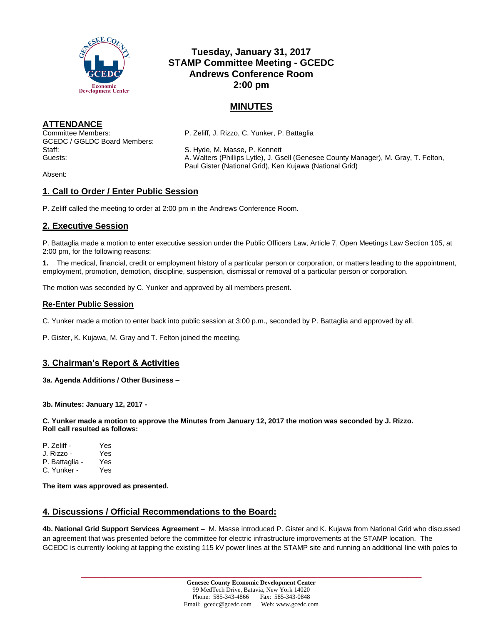

# **Tuesday, January 31, 2017 STAMP Committee Meeting - GCEDC Andrews Conference Room 2:00 pm**

# **MINUTES**

## **ATTENDANCE**

GCEDC / GGLDC Board Members: Staff: S. Hyde, M. Masse, P. Kennett

Committee Members: P. Zeliff, J. Rizzo, C. Yunker, P. Battaglia

Guests: A. Walters (Phillips Lytle), J. Gsell (Genesee County Manager), M. Gray, T. Felton, Paul Gister (National Grid), Ken Kujawa (National Grid)

Absent:

## **1. Call to Order / Enter Public Session**

P. Zeliff called the meeting to order at 2:00 pm in the Andrews Conference Room.

## **2. Executive Session**

P. Battaglia made a motion to enter executive session under the Public Officers Law, Article 7, Open Meetings Law Section 105, at 2:00 pm, for the following reasons:

**1.** The medical, financial, credit or employment history of a particular person or corporation, or matters leading to the appointment, employment, promotion, demotion, discipline, suspension, dismissal or removal of a particular person or corporation.

The motion was seconded by C. Yunker and approved by all members present.

### **Re-Enter Public Session**

C. Yunker made a motion to enter back into public session at 3:00 p.m., seconded by P. Battaglia and approved by all.

P. Gister, K. Kujawa, M. Gray and T. Felton joined the meeting.

## **3. Chairman's Report & Activities**

### **3a. Agenda Additions / Other Business –**

**3b. Minutes: January 12, 2017 -**

**C. Yunker made a motion to approve the Minutes from January 12, 2017 the motion was seconded by J. Rizzo. Roll call resulted as follows:**

P. Zeliff - Yes J. Rizzo - Yes P. Battaglia - Yes C. Yunker - Yes

**The item was approved as presented.**

### **4. Discussions / Official Recommendations to the Board:**

**4b. National Grid Support Services Agreement** – M. Masse introduced P. Gister and K. Kujawa from National Grid who discussed an agreement that was presented before the committee for electric infrastructure improvements at the STAMP location. The GCEDC is currently looking at tapping the existing 115 kV power lines at the STAMP site and running an additional line with poles to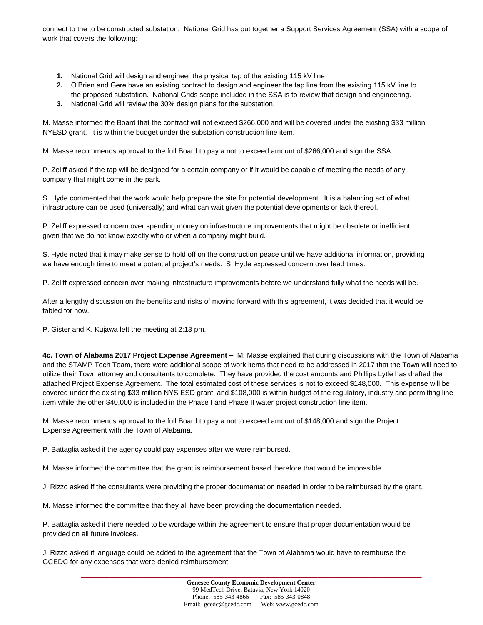connect to the to be constructed substation. National Grid has put together a Support Services Agreement (SSA) with a scope of work that covers the following:

- **1.** National Grid will design and engineer the physical tap of the existing 115 kV line
- **2.** O'Brien and Gere have an existing contract to design and engineer the tap line from the existing 115 kV line to the proposed substation. National Grids scope included in the SSA is to review that design and engineering.
- **3.** National Grid will review the 30% design plans for the substation.

M. Masse informed the Board that the contract will not exceed \$266,000 and will be covered under the existing \$33 million NYESD grant. It is within the budget under the substation construction line item.

M. Masse recommends approval to the full Board to pay a not to exceed amount of \$266,000 and sign the SSA.

P. Zeliff asked if the tap will be designed for a certain company or if it would be capable of meeting the needs of any company that might come in the park.

S. Hyde commented that the work would help prepare the site for potential development. It is a balancing act of what infrastructure can be used (universally) and what can wait given the potential developments or lack thereof.

P. Zeliff expressed concern over spending money on infrastructure improvements that might be obsolete or inefficient given that we do not know exactly who or when a company might build.

S. Hyde noted that it may make sense to hold off on the construction peace until we have additional information, providing we have enough time to meet a potential project's needs. S. Hyde expressed concern over lead times.

P. Zeliff expressed concern over making infrastructure improvements before we understand fully what the needs will be.

After a lengthy discussion on the benefits and risks of moving forward with this agreement, it was decided that it would be tabled for now.

P. Gister and K. Kujawa left the meeting at 2:13 pm.

**4c. Town of Alabama 2017 Project Expense Agreement –** M. Masse explained that during discussions with the Town of Alabama and the STAMP Tech Team, there were additional scope of work items that need to be addressed in 2017 that the Town will need to utilize their Town attorney and consultants to complete. They have provided the cost amounts and Phillips Lytle has drafted the attached Project Expense Agreement. The total estimated cost of these services is not to exceed \$148,000. This expense will be covered under the existing \$33 million NYS ESD grant, and \$108,000 is within budget of the regulatory, industry and permitting line item while the other \$40,000 is included in the Phase I and Phase II water project construction line item.

M. Masse recommends approval to the full Board to pay a not to exceed amount of \$148,000 and sign the Project Expense Agreement with the Town of Alabama.

P. Battaglia asked if the agency could pay expenses after we were reimbursed.

M. Masse informed the committee that the grant is reimbursement based therefore that would be impossible.

J. Rizzo asked if the consultants were providing the proper documentation needed in order to be reimbursed by the grant.

M. Masse informed the committee that they all have been providing the documentation needed.

P. Battaglia asked if there needed to be wordage within the agreement to ensure that proper documentation would be provided on all future invoices.

J. Rizzo asked if language could be added to the agreement that the Town of Alabama would have to reimburse the GCEDC for any expenses that were denied reimbursement.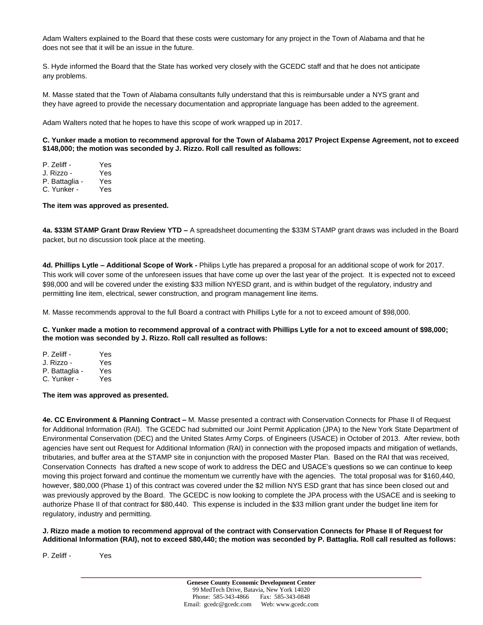Adam Walters explained to the Board that these costs were customary for any project in the Town of Alabama and that he does not see that it will be an issue in the future.

S. Hyde informed the Board that the State has worked very closely with the GCEDC staff and that he does not anticipate any problems.

M. Masse stated that the Town of Alabama consultants fully understand that this is reimbursable under a NYS grant and they have agreed to provide the necessary documentation and appropriate language has been added to the agreement.

Adam Walters noted that he hopes to have this scope of work wrapped up in 2017.

### **C. Yunker made a motion to recommend approval for the Town of Alabama 2017 Project Expense Agreement, not to exceed \$148,000; the motion was seconded by J. Rizzo. Roll call resulted as follows:**

| P. Zeliff -    | Yes        |
|----------------|------------|
| J. Rizzo -     | Yes        |
| P. Battaglia - | Yes        |
| C. Yunker -    | <b>Yes</b> |

**The item was approved as presented.**

**4a. \$33M STAMP Grant Draw Review YTD –** A spreadsheet documenting the \$33M STAMP grant draws was included in the Board packet, but no discussion took place at the meeting.

**4d. Phillips Lytle – Additional Scope of Work -** Philips Lytle has prepared a proposal for an additional scope of work for 2017. This work will cover some of the unforeseen issues that have come up over the last year of the project. It is expected not to exceed \$98,000 and will be covered under the existing \$33 million NYESD grant, and is within budget of the regulatory, industry and permitting line item, electrical, sewer construction, and program management line items.

M. Masse recommends approval to the full Board a contract with Phillips Lytle for a not to exceed amount of \$98,000.

**C. Yunker made a motion to recommend approval of a contract with Phillips Lytle for a not to exceed amount of \$98,000; the motion was seconded by J. Rizzo. Roll call resulted as follows:**

| P. Zeliff -    | Yes |
|----------------|-----|
| J. Rizzo -     | Yes |
| P. Battaglia - | Yes |
| C. Yunker -    | Yes |

### **The item was approved as presented.**

**4e. CC Environment & Planning Contract –** M. Masse presented a contract with Conservation Connects for Phase II of Request for Additional Information (RAI). The GCEDC had submitted our Joint Permit Application (JPA) to the New York State Department of Environmental Conservation (DEC) and the United States Army Corps. of Engineers (USACE) in October of 2013. After review, both agencies have sent out Request for Additional Information (RAI) in connection with the proposed impacts and mitigation of wetlands, tributaries, and buffer area at the STAMP site in conjunction with the proposed Master Plan. Based on the RAI that was received, Conservation Connects has drafted a new scope of work to address the DEC and USACE's questions so we can continue to keep moving this project forward and continue the momentum we currently have with the agencies. The total proposal was for \$160,440, however, \$80,000 (Phase 1) of this contract was covered under the \$2 million NYS ESD grant that has since been closed out and was previously approved by the Board. The GCEDC is now looking to complete the JPA process with the USACE and is seeking to authorize Phase II of that contract for \$80,440. This expense is included in the \$33 million grant under the budget line item for regulatory, industry and permitting.

#### **J. Rizzo made a motion to recommend approval of the contract with Conservation Connects for Phase II of Request for Additional Information (RAI), not to exceed \$80,440; the motion was seconded by P. Battaglia. Roll call resulted as follows:**

P. Zeliff - Yes